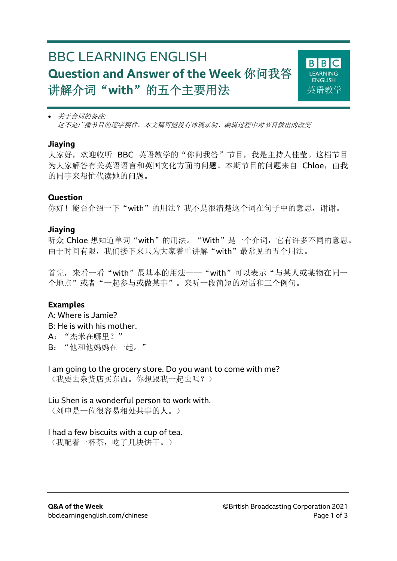# BBC LEARNING ENGLISH **Question and Answer of the Week** 你问我答 讲解介词"**with**"的五个主要用法



 关于台词的备注*:* 这不是广播节目的逐字稿件。本文稿可能没有体现录制、编辑过程中对节目做出的改变。

#### **Jiaying**

大家好,欢迎收听 BBC 英语教学的"你问我答"节目,我是主持人佳莹。这档节目 为大家解答有关英语语言和英国文化方面的问题。本期节目的问题来自 Chloe, 由我 的同事来帮忙代读她的问题。

## **Question**

你好!能否介绍一下"with"的用法?我不是很清楚这个词在句子中的意思,谢谢。

# **Jiaying**

听众 Chloe 想知道单词"with"的用法。"With"是一个介词,它有许多不同的意思。 由于时间有限,我们接下来只为大家着重讲解"with"最常见的五个用法。

首先,来看一看"with"最基本的用法——"with"可以表示"与某人或某物在同一 个地点"或者"一起参与或做某事"。来听一段简短的对话和三个例句。

# **Examples**

A: Where is Jamie? B: He is with his mother. A:"杰米在哪里?" B:"他和他妈妈在一起。"

I am going to the grocery store. Do you want to come with me? (我要去杂货店买东西。你想跟我一起去吗?)

Liu Shen is a wonderful person to work with. (刘申是一位很容易相处共事的人。)

#### I had a few biscuits with a cup of tea.

(我配着一杯茶,吃了几块饼干。)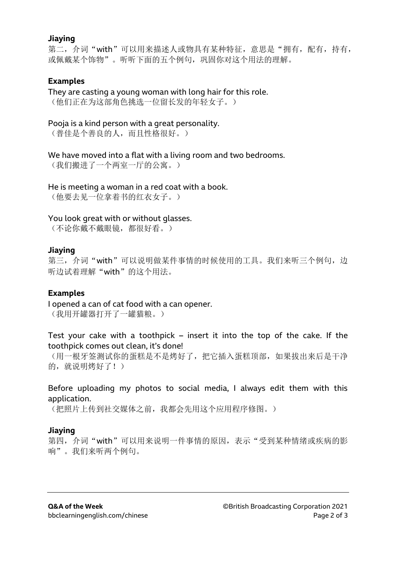#### **Jiaying**

第二, 介词"with"可以用来描述人或物具有某种特征,意思是"拥有, 配有, 持有, 或佩戴某个饰物"。听听下面的五个例句,巩固你对这个用法的理解。

# **Examples**

They are casting a young woman with long hair for this role. (他们正在为这部角色挑选一位留长发的年轻女子。)

Pooja is a kind person with a great personality.

(普佳是个善良的人,而且性格很好。)

We have moved into a flat with a living room and two bedrooms.

(我们搬进了一个两室一厅的公寓。)

#### He is meeting a woman in a red coat with a book.

(他要去见一位拿着书的红衣女子。)

#### You look great with or without glasses.

(不论你戴不戴眼镜,都很好看。)

#### **Jiaying**

第三, 介词"with"可以说明做某件事情的时候使用的工具。我们来听三个例句, 边 听边试着理解"with"的这个用法。

#### **Examples**

I opened a can of cat food with a can opener. (我用开罐器打开了一罐猫粮。)

Test your cake with a toothpick – insert it into the top of the cake. If the toothpick comes out clean, it's done!

(用一根牙签测试你的蛋糕是不是烤好了,把它插入蛋糕顶部,如果拔出来后是干净 的, 就说明烤好了!)

## Before uploading my photos to social media, I always edit them with this application.

(把照片上传到社交媒体之前,我都会先用这个应用程序修图。)

#### **Jiaying**

第四, 介词"with"可以用来说明一件事情的原因, 表示"受到某种情绪或疾病的影 响"。我们来听两个例句。